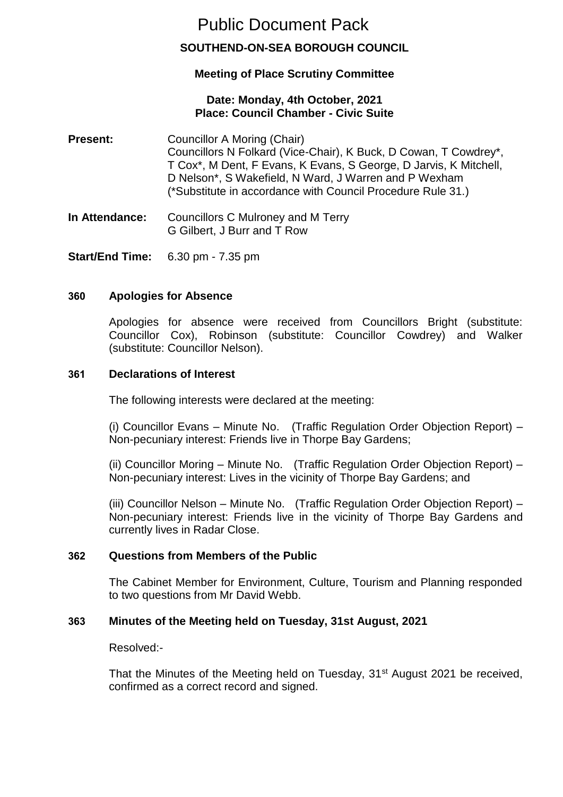# Public Document Pack

# **SOUTHEND-ON-SEA BOROUGH COUNCIL**

# **Meeting of Place Scrutiny Committee**

#### **Date: Monday, 4th October, 2021 Place: Council Chamber - Civic Suite**

- **Present:** Councillor A Moring (Chair) Councillors N Folkard (Vice-Chair), K Buck, D Cowan, T Cowdrey\*, T Cox\*, M Dent, F Evans, K Evans, S George, D Jarvis, K Mitchell, D Nelson\*, S Wakefield, N Ward, J Warren and P Wexham (\*Substitute in accordance with Council Procedure Rule 31.)
- **In Attendance:** Councillors C Mulroney and M Terry G Gilbert, J Burr and T Row
- **Start/End Time:** 6.30 pm 7.35 pm

## **360 Apologies for Absence**

Apologies for absence were received from Councillors Bright (substitute: Councillor Cox), Robinson (substitute: Councillor Cowdrey) and Walker (substitute: Councillor Nelson).

#### **361 Declarations of Interest**

The following interests were declared at the meeting:

(i) Councillor Evans – Minute No. (Traffic Regulation Order Objection Report) – Non-pecuniary interest: Friends live in Thorpe Bay Gardens;

(ii) Councillor Moring – Minute No. (Traffic Regulation Order Objection Report) – Non-pecuniary interest: Lives in the vicinity of Thorpe Bay Gardens; and

(iii) Councillor Nelson – Minute No. (Traffic Regulation Order Objection Report) – Non-pecuniary interest: Friends live in the vicinity of Thorpe Bay Gardens and currently lives in Radar Close.

#### **362 Questions from Members of the Public**

The Cabinet Member for Environment, Culture, Tourism and Planning responded to two questions from Mr David Webb.

#### **363 Minutes of the Meeting held on Tuesday, 31st August, 2021**

Resolved:-

That the Minutes of the Meeting held on Tuesday, 31<sup>st</sup> August 2021 be received, confirmed as a correct record and signed.